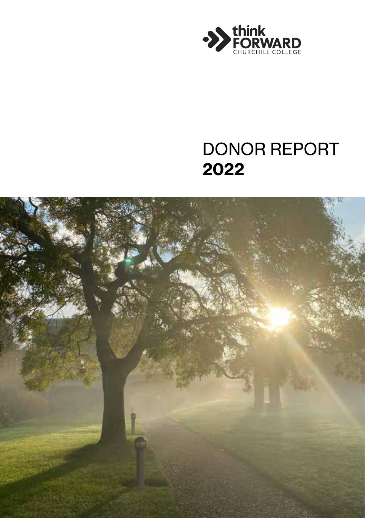

## DONOR REPORT 2022

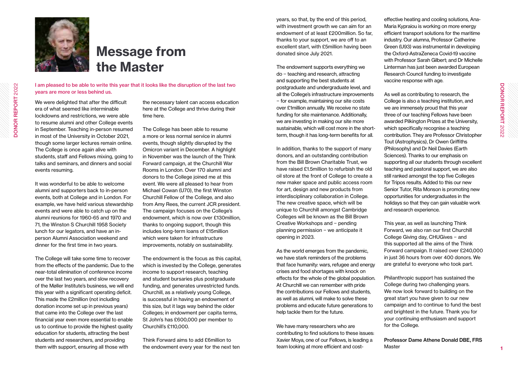

# Message from the Master

I am pleased to be able to write this year that it looks like the disruption of the last two

We were delighted that after the difficult era of what seemed like interminable lockdowns and restrictions, we were able to resume alumni and other College events in September. Teaching in-person resumed in most of the University in October 2021, though some larger lectures remain online. The College is once again alive with students, staff and Fellows mixing, going to talks and seminars, and dinners and social events resuming.

years are more or less behind us.

It was wonderful to be able to welcome alumni and supporters back to in-person events, both at College and in London. For example, we have held various stewardship events and were able to catch up on the alumni reunions for 1960-65 and 1970 and 71, the Winston S Churchill 1958 Society lunch for our legators, and have an inperson Alumni Association weekend and dinner for the first time in two years.

The College will take some time to recover from the effects of the pandemic. Due to the near-total elimination of conference income over the last two years, and slow recovery of the Møller Institute's business, we will end this year with a significant operating deficit. This made the £2million (not including donation income set up in previous years) that came into the College over the last financial year even more essential to enable us to continue to provide the highest quality education for students, attracting the best students and researchers, and providing them with support, ensuring all those with

the necessary talent can access education here at the College and thrive during their time here.

The College has been able to resume a more or less normal service in alumni events, though slightly disrupted by the Omicron variant in December. A highlight in November was the launch of the Think Forward campaign, at the Churchill War Rooms in London. Over 170 alumni and donors to the College joined me at this event. We were all pleased to hear from Michael Cowan (U70), the first Winston Churchill Fellow of the College, and also from Amy Rees, the current JCR president. The campaign focuses on the College's endowment, which is now over £130million, thanks to ongoing support, though this includes long-term loans of £15million which were taken for infrastructure improvements, notably on sustainability.

The endowment is the focus as this capital, which is invested by the College, generates income to support research, teaching and student bursaries plus postgraduate funding, and generates unrestricted funds. Churchill, as a relatively young College, is successful in having an endowment of this size, but it lags way behind the older Colleges; in endowment per capita terms, St John's has £600,000 per member to Churchill's £110,000.

Think Forward aims to add £6million to the endowment every year for the next ten years, so that, by the end of this period, with investment growth we can aim for an endowment of at least £200million. So far, thanks to your support, we are off to an excellent start, with £5million having been donated since July 2021.

The endowment supports everything we do − teaching and research, attracting and supporting the best students at postgraduate and undergraduate level, and all the College's infrastructure improvements − for example, maintaining our site costs over £1million annually. We receive no state funding for site maintenance. Additionally, we are investing in making our site more sustainable, which will cost more in the shortterm, though it has long-term benefits for all.

In addition, thanks to the support of many donors, and an outstanding contribution from the Bill Brown Charitable Trust, we have raised £1.5million to refurbish the old oil store at the front of College to create a new maker space and public access room for art, design and new products from interdisciplinary collaboration in College. The new creative space, which will be unique to Churchill amongst Cambridge Colleges will be known as the Bill Brown Creative Workshops and − pending planning permission − we anticipate it opening in 2023.

As the world emerges from the pandemic, we have stark reminders of the problems that face humanity: wars, refugee and energy crises and food shortages with knock on effects for the whole of the global population. At Churchill we can remember with pride the contributions our Fellows and students, as well as alumni, will make to solve these problems and educate future generations to help tackle them for the future.

We have many researchers who are contributing to find solutions to these issues: Xavier Moya, one of our Fellows, is leading a team looking at more efficient and cost-

effective heating and cooling solutions, Ana-Maria Kypraiou is working on more energy efficient transport solutions for the maritime industry. Our alumna, Professor Catherine Green (U93) was instrumental in developing the Oxford-AstraZeneca Covid-19 vaccine with Professor Sarah Gilbert; and Dr Michelle Linterman has just been awarded European Research Council funding to investigate vaccine response with age.

As well as contributing to research, the College is also a teaching institution, and we are immensely proud that this year three of our teaching Fellows have been awarded Pilkington Prizes at the University, which specifically recognise a teaching contribution. They are Professor Christopher Tout (Astrophysics), Dr Owen Griffiths (Philosophy) and Dr Neil Davies (Earth Sciences). Thanks to our emphasis on supporting all our students through excellent teaching and pastoral support, we are also still ranked amongst the top five Colleges for Tripos results. Added to this our new Senior Tutor, Rita Monson is promoting new opportunities for undergraduates in the holidays so that they can gain valuable work and research experience.

This year, as well as launching Think Forward, we also ran our first Churchill College Giving day, CHUGives − and this supported all the aims of the Think Forward campaign. It raised over £240,000 in just 36 hours from over 400 donors. We are grateful to everyone who took part.

Philanthropic support has sustained the College during two challenging years. We now look forward to building on the great start you have given to our new campaign and to continue to fund the best and brightest in the future. Thank you for your continuing enthusiasm and support for the College.

Professor Dame Athene Donald DBE, FRS **Master**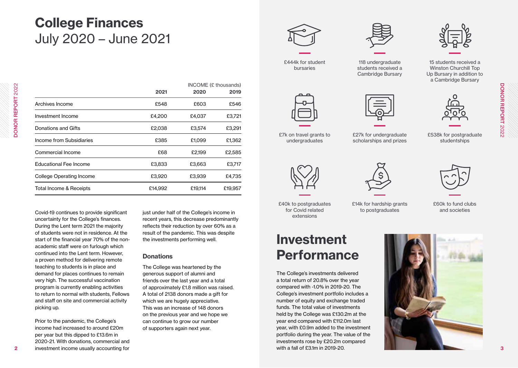# College Finances July 2020 – June 2021

|                                 |         |         | INCOME (£ thousands) |  |
|---------------------------------|---------|---------|----------------------|--|
|                                 | 2021    | 2020    | 2019                 |  |
| Archives Income                 | £548    | £603    | £546                 |  |
| Investment Income               | £4,200  | £4,037  | £3,721               |  |
| Donations and Gifts             | £2,038  | £3,574  | £3,291               |  |
| Income from Subsidiaries        | £385    | £1,099  | £1,362               |  |
| Commercial Income               | £68     | £2,199  | £2,585               |  |
| <b>Educational Fee Income</b>   | £3,833  | £3,663  | £3,717               |  |
| <b>College Operating Income</b> | £3,920  | £3,939  | £4,735               |  |
| Total Income & Receipts         | £14,992 | £19,114 | £19.957              |  |

Covid-19 continues to provide significant uncertainty for the College's finances. During the Lent term 2021 the majority of students were not in residence. At the start of the financial year 70% of the nonacademic staff were on furlough which continued into the Lent term. However, a proven method for delivering remote teaching to students is in place and demand for places continues to remain very high. The successful vaccination program is currently enabling activities to return to normal with students, Fellows and staff on site and commercial activity picking up.

Prior to the pandemic, the College's income had increased to around £20m per year but this dipped to £13.6m in 2020-21. With donations, commercial and investment income usually accounting for

just under half of the College's income in recent years, this decrease predominantly reflects their reduction by over 60% as a result of the pandemic. This was despite the investments performing well.

#### **Donations**

The College was heartened by the generous support of alumni and friends over the last year and a total of approximately £1.8 million was raised. A total of 2138 donors made a gift for which we are hugely appreciative. This was an increase of 148 donors on the previous year and we hope we can continue to grow our number of supporters again next year.







118 undergraduate students received a Cambridge Bursary



£7k on travel grants to undergraduates



£27k for undergraduate scholarships and prizes



Winston Churchill Top Up Bursary in addition to a Cambridge Bursary



£538k for postgraduate studentships







£40k to postgraduates for Covid related extensions

#### £14k for hardship grants to postgraduates

and societies

£60k to fund clubs

# Investment Performance

The College's investments delivered a total return of 20.8% over the year compared with -1.0% in 2019-20. The College's investment portfolio includes a number of equity and exchange traded funds. The total value of investments held by the College was £130.2m at the year end compared with £112.0m last year, with £0.9m added to the investment portfolio during the year. The value of the investments rose by £20.2m compared with a fall of £3.1m in 2019-20.

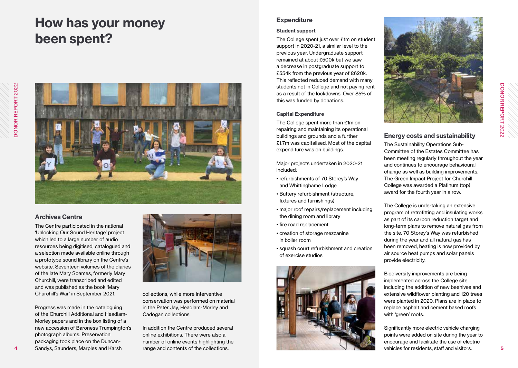# How has your money been spent?



#### Archives Centre

The Centre participated in the national 'Unlocking Our Sound Heritage' project which led to a large number of audio resources being digitised, catalogued and a selection made available online through a prototype sound library on the Centre's website. Seventeen volumes of the diaries of the late Mary Soames, formerly Mary Churchill, were transcribed and edited and was published as the book 'Mary Churchill's War' in September 2021.

Progress was made in the cataloguing of the Churchill Additional and Headlam-Morley papers and in the box listing of a new accession of Baroness Trumpington's photograph albums. Preservation packaging took place on the Duncan-Sandys, Saunders, Marples and Karsh



collections, while more interventive conservation was performed on material in the Peter Jay, Headlam-Morley and Cadogan collections.

In addition the Centre produced several online exhibitions. There were also a number of online events highlighting the range and contents of the collections.

#### **Expenditure**

#### Student support

The College spent just over £1m on student support in 2020-21, a similar level to the previous year. Undergraduate support remained at about £500k but we saw a decrease in postgraduate support to £554k from the previous year of £620k. This reflected reduced demand with many students not in College and not paying rent as a result of the lockdowns. Over 85% of this was funded by donations.

#### Capital Expenditure

The College spent more than £1m on repairing and maintaining its operational buildings and grounds and a further £1.7m was capitalised. Most of the capital expenditure was on buildings.

Major projects undertaken in 2020-21 included:

- refurbishments of 70 Storey's Way and Whittinghame Lodge
- Buttery refurbishment (structure, fixtures and furnishings)
- major roof repairs/replacement including the dining room and library
- fire road replacement
- creation of storage mezzanine in boiler room
- squash court refurbishment and creation of exercise studios





#### Energy costs and sustainability

The Sustainability Operations Sub-Committee of the Estates Committee has been meeting regularly throughout the year and continues to encourage behavioural change as well as building improvements. The Green Impact Project for Churchill College was awarded a Platinum (top) award for the fourth year in a row.

The College is undertaking an extensive program of retrofitting and insulating works as part of its carbon reduction target and long-term plans to remove natural gas from the site. 70 Storey's Way was refurbished during the year and all natural gas has been removed, heating is now provided by air source heat pumps and solar panels provide electricity.

Biodiversity improvements are being implemented across the College site including the addition of new beehives and extensive wildflower planting and 120 trees were planted in 2020. Plans are in place to replace asphalt and cement based roofs with 'green' roofs.

Significantly more electric vehicle charging points were added on site during the year to encourage and facilitate the use of electric vehicles for residents, staff and visitors.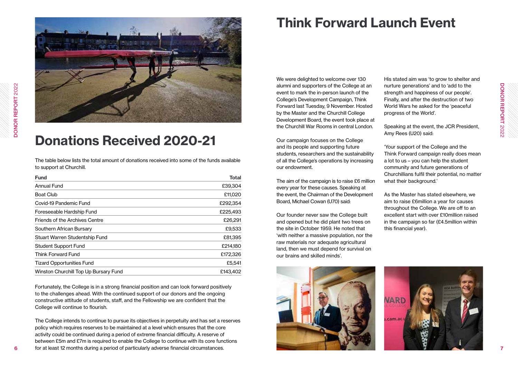

## Donations Received 2020-21

The table below lists the total amount of donations received into some of the funds available to support at Churchill.

| <b>Fund</b>                           | <b>Total</b> |
|---------------------------------------|--------------|
| <b>Annual Fund</b>                    | £39,304      |
| <b>Boat Club</b>                      | £11,020      |
| Covid-19 Pandemic Fund                | £292,354     |
| Foreseeable Hardship Fund             | £225,493     |
| Friends of the Archives Centre        | £26,291      |
| Southern African Bursary              | £9,533       |
| Stuart Warren Studentship Fund        | £81,395      |
| Student Support Fund                  | £214,180     |
| Think Forward Fund                    | £172,326     |
| <b>Tizard Opportunities Fund</b>      | £5,541       |
| Winston Churchill Top Up Bursary Fund | £143.402     |

Fortunately, the College is in a strong financial position and can look forward positively to the challenges ahead. With the continued support of our donors and the ongoing constructive attitude of students, staff, and the Fellowship we are confident that the College will continue to flourish.

The College intends to continue to pursue its objectives in perpetuity and has set a reserves policy which requires reserves to be maintained at a level which ensures that the core activity could be continued during a period of extreme financial difficulty. A reserve of between £5m and £7m is required to enable the College to continue with its core functions for at least 12 months during a period of particularly adverse financial circumstances.

# Think Forward Launch Event

We were delighted to welcome over 130 alumni and supporters of the College at an event to mark the in-person launch of the College's Development Campaign, Think Forward last Tuesday, 9 November. Hosted by the Master and the Churchill College Development Board, the event took place at the Churchill War Rooms in central London.

Our campaign focuses on the College and its people and supporting future students, researchers and the sustainability of all the College's operations by increasing our endowment.

The aim of the campaign is to raise £6 million every year for these causes. Speaking at the event, the Chairman of the Development Board, Michael Cowan (U70) said:

Our founder never saw the College built and opened but he did plant two trees on the site in October 1959. He noted that 'with neither a massive population, nor the raw materials nor adequate agricultural land, then we must depend for survival on our brains and skilled minds'.



His stated aim was 'to grow to shelter and nurture generations' and to 'add to the strength and happiness of our people'. Finally, and after the destruction of two World Wars he asked for the 'peaceful progress of the World'.

Speaking at the event, the JCR President, Amy Rees (U20) said:

'Your support of the College and the Think Forward campaign really does mean a lot to us – you can help the student community and future generations of Churchillians fulfil their potential, no matter what their background.'

As the Master has stated elsewhere, we aim to raise £6million a year for causes throughout the College. We are off to an excellent start with over £10million raised in the campaign so far (£4.5million within this financial year).



DONOR REPORT 2022

**DONOR REPORT 2022**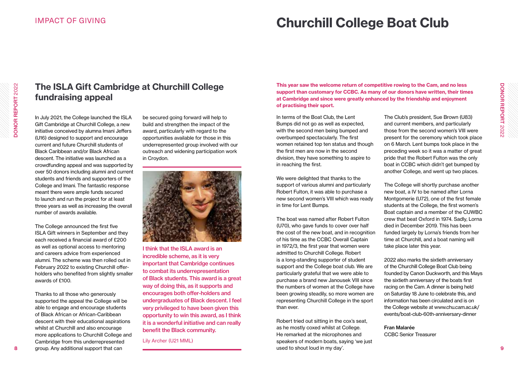### IMPACT OF GIVING

## Churchill College Boat Club

### In terms of the Boat Club, the Lent This year saw the welcome return of competitive rowing to the Cam, and no less support than customary for CCBC. As many of our donors have written, their times at Cambridge and since were greatly enhanced by the friendship and enjoyment

Bumps did not go as well as expected, with the second men being bumped and overbumped spectacularly. The first women retained top ten status and though the first men are now in the second division, they have something to aspire to in reaching the first.

of practising their sport.

We were delighted that thanks to the support of various alumni and particularly Robert Fulton, it was able to purchase a new second women's VIII which was ready in time for Lent Bumps.

The boat was named after Robert Fulton (U70), who gave funds to cover over half the cost of the new boat, and in recognition of his time as the CCBC Overall Captain in 1972/3, the first year that women were admitted to Churchill College. Robert is a long-standing supporter of student support and the College boat club. We are particularly grateful that we were able to purchase a brand new Janousek VIII since the numbers of women at the College have been growing steadily, so more women are representing Churchill College in the sport than ever.

Robert tried out sitting in the cox's seat, as he mostly coxed whilst at College. He remarked at the microphones and speakers of modern boats, saying 'we just used to shout loud in my day'.

The Club's president, Sue Brown (U83) and current members, and particularly those from the second women's VIII were present for the ceremony which took place on 6 March. Lent bumps took place in the preceding week so it was a matter of great pride that the Robert Fulton was the only boat in CCBC which didn't get bumped by another College, and went up two places.

The College will shortly purchase another new boat, a IV to be named after Lorna Montgomerie (U72), one of the first female students at the College, the first women's Boat captain and a member of the CUWBC crew that beat Oxford in 1974. Sadly, Lorna died in December 2019. This has been funded largely by Lorna's friends from her time at Churchill, and a boat naming will take place later this year.

2022 also marks the sixtieth anniversary of the Churchill College Boat Club being founded by Canon Duckworth, and this Mays the sixtieth anniversary of the boats first racing on the Cam. A dinner is being held on Saturday 18 June to celebrate this, and information has been circulated and is on the College website at www.chu.cam.ac.uk/ events/boat-club-60th-anniversary-dinner

Fran Malarée CCBC Senior Treasurer

DONOR REPORT 2022

**DONOR REPORT 2022** 

### The ISLA Gift Cambridge at Churchill College fundraising appeal

In July 2021, the College launched the ISLA Gift Cambridge at Churchill College, a new initiative conceived by alumna Imani Jeffers (U16) designed to support and encourage current and future Churchill students of Black Caribbean and/or Black African descent. The initiative was launched as a crowdfunding appeal and was supported by over 50 donors including alumni and current students and friends and supporters of the College and Imani. The fantastic response meant there were ample funds secured to launch and run the project for at least three years as well as increasing the overall number of awards available.

The College announced the first five ISLA Gift winners in September and they each received a financial award of £200 as well as optional access to mentoring and careers advice from experienced alumni. The scheme was then rolled out in February 2022 to existing Churchill offerholders who benefited from slightly smaller awards of £100.

Thanks to all those who generously supported the appeal the College will be able to engage and encourage students of Black African or African-Caribbean descent with their educational aspirations whilst at Churchill and also encourage more applications to Churchill College and Cambridge from this underrepresented group. Any additional support that can

be secured going forward will help to build and strengthen the impact of the award, particularly with regard to the opportunities available for those in this underrepresented group involved with our outreach and widening participation work in Croydon.



I think that the ISLA award is an incredible scheme, as it is very important that Cambridge continues to combat its underrepresentation of Black students. This award is a great way of doing this, as it supports and encourages both offer-holders and undergraduates of Black descent. I feel very privileged to have been given this opportunity to win this award, as I think it is a wonderful initiative and can really benefit the Black community.

Lily Archer (U21 MML)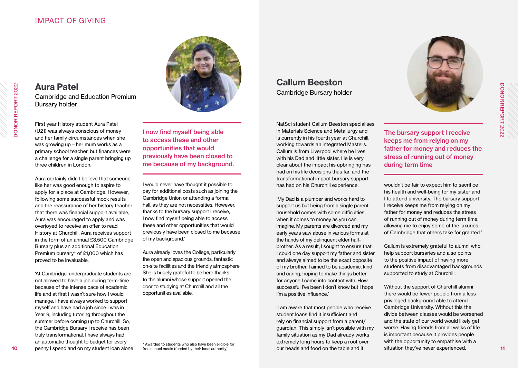### IMPACT OF GIVING

Aura Patel Cambridge and Education Premium Bursary holder

First year History student Aura Patel (U21) was always conscious of money and her family circumstances when she was growing up – her mum works as a primary school teacher, but finances were a challenge for a single parent bringing up three children in London.

Aura certainly didn't believe that someone like her was good enough to aspire to apply for a place at Cambridge. However, following some successful mock results and the reassurance of her history teacher that there was financial support available, Aura was encouraged to apply and was overjoyed to receive an offer to read History at Churchill. Aura receives support in the form of an annual £3,500 Cambridge Bursary plus an additional Education Premium bursary\* of £1,000 which has proved to be invaluable.

'At Cambridge, undergraduate students are not allowed to have a job during term-time because of the intense pace of academic life and at first I wasn't sure how I would manage. I have always worked to support myself and have had a job since I was in Year 9, including tutoring throughout the summer before coming up to Churchill. So, the Cambridge Bursary I receive has been truly transformational. I have always had an automatic thought to budget for every penny I spend and on my student loan alone



I now find myself being able to access these and other opportunities that would previously have been closed to me because of my background.

I would never have thought it possible to pay for additional costs such as joining the Cambridge Union or attending a formal hall, as they are not necessities. However, thanks to the bursary support I receive, I now find myself being able to access these and other opportunities that would previously have been closed to me because of my background.'

Aura already loves the College, particularly the open and spacious grounds, fantastic on-site facilities and the friendly atmosphere. She is hugely grateful to be here thanks to the alumni whose support opened the door to studying at Churchill and all the opportunities available.

\* Awarded to students who also have been eligible for free school meals (funded by their local authority)

Callum Beeston Cambridge Bursary holder

NatSci student Callum Beeston specialises in Materials Science and Metallurgy and is currently in his fourth year at Churchill, working towards an integrated Masters. Callum is from Liverpool where he lives with his Dad and little sister. He is very clear about the impact his upbringing has had on his life decisions thus far, and the transformational impact bursary support has had on his Churchill experience.

'My Dad is a plumber and works hard to support us but being from a single parent household comes with some difficulties when it comes to money as you can imagine. My parents are divorced and my early years saw abuse in various forms at the hands of my delinquent elder halfbrother. As a result, I sought to ensure that I could one day support my father and sister and always aimed to be the exact opposite of my brother. I aimed to be academic, kind and caring, hoping to make things better for anyone I came into contact with. How successful I've been I don't know but I hope I'm a positive influence.'

'I am aware that most people who receive student loans find it insufficient and rely on financial support from a parent/ guardian. This simply isn't possible with my family situation as my Dad already works extremely long hours to keep a roof over our heads and food on the table and it



The bursary support I receive keeps me from relying on my father for money and reduces the stress of running out of money during term time

wouldn't be fair to expect him to sacrifice his health and well-being for my sister and I to attend university. The bursary support I receive keeps me from relying on my father for money and reduces the stress of running out of money during term time, allowing me to enjoy some of the luxuries of Cambridge that others take for granted.'

Callum is extremely grateful to alumni who help support bursaries and also points to the positive impact of having more students from disadvantaged backgrounds supported to study at Churchill.

Without the support of Churchill alumni there would be fewer people from a less privileged background able to attend Cambridge University. Without this the divide between classes would be worsened and the state of our world would likely get worse. Having friends from all walks of life is important because it provides people with the opportunity to empathise with a situation they've never experienced.

10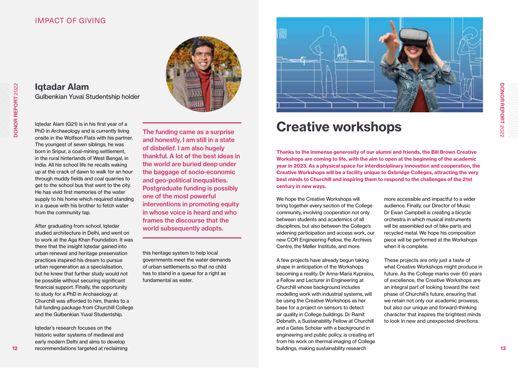### IMPACT OF GIVING

#### Iqtadar Alam Gulbenkian Yuval Studentship holder

Iqtedar Alam (G21) is in his first year of a PhD in Archaeology and is currently living onsite in the Wolfson Flats with his partner. The youngest of seven siblings, he was born in Sripur, a coal-mining settlement, in the rural hinterlands of West Bengal, in India. All his school life he recalls waking up at the crack of dawn to walk for an hour through muddy fields and coal quarries to get to the school bus that went to the city. He has vivid first memories of the water supply to his home which required standing in a queue with his brother to fetch water from the community tap.

After graduating from school, latedar studied architecture in Delhi, and went on to work at the Aga Khan Foundation. It was there that the insight Iqtedar gained into urban renewal and heritage preservation practices inspired his dream to pursue urban regeneration as a specialisation, but he knew that further study would not be possible without securing significant financial support. Finally, the opportunity to study for a PhD in Archaeology at Churchill was afforded to him, thanks to a full funding package from Churchill College and the Gulbenkian Yuval Studentship.

Iqtedar's research focuses on the historic water systems of medieval and early modern Delhi and aims to develop recommendations targeted at reclaiming



The funding came as a surprise and honestly, I am still in a state of disbelief. I am also hugely thankful. A lot of the best ideas in the world are buried deep under the baggage of socio-economic and geo-political inequalities. Postgraduate funding is possibly one of the most powerful interventions in promoting equity in whose voice is heard and who frames the discourse that the world subsequently adopts.

this heritage system to help local governments meet the water demands of urban settlements so that no child has to stand in a queue for a right as fundamental as water.



### Creative workshops

Thanks to the immense generosity of our alumni and friends, the Bill Brown Creative Workshops are coming to life, with the aim to open at the beginning of the academic year in 2023. As a physical space for interdisciplinary innovation and cooperation, the Creative Workshops will be a facility unique to Oxbridge Colleges, attracting the very best minds to Churchill and inspiring them to respond to the challenges of the 21st century in new ways.

We hope the Creative Workshops will bring together every section of the College community, involving cooperation not only between students and academics of all disciplines, but also between the College's widening participation and access work, our new COR Engineering Fellow, the Archives Centre, the Møller Institute, and more.

A few projects have already begun taking shape in anticipation of the Workshops becoming a reality. Dr Anna-Maria Kypraiou, a Fellow and Lecturer in Engineering at Churchill whose background includes modelling work with industrial systems, will be using the Creative Workshops as her base for a project on sensors to detect air quality in College buildings. Dr Ramit Debnath, a Sustainability Fellow at Churchill and a Gates Scholar with a background in engineering and public policy, is creating art from his work on thermal imaging of College buildings, making sustainability research

more accessible and impactful to a wider audience. Finally, our Director of Music Dr Ewan Campbell is creating a bicycle orchestra in which musical instruments will be assembled out of bike parts and recycled metal. We hope his composition piece will be performed at the Workshops when it is complete.

These projects are only just a taste of what Creative Workshops might produce in future. As the College marks over 60 years of excellence, the Creative Workshops are an integral part of looking toward the next phase of Churchill's future, ensuring that we retain not only our academic prowess, but also our unique and forward-thinking character that inspires the brightest minds to look in new and unexpected directions.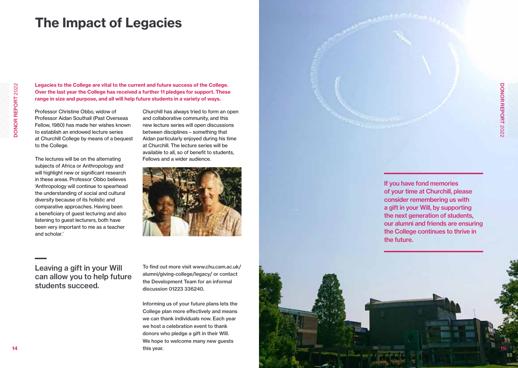## The Impact of Legacies

Legacies to the College are vital to the current and future success of the College. Over the last year the College has received a further 11 pledges for support. These range in size and purpose, and all will help future students in a variety of ways.

Professor Christine Obbo, widow of Professor Aidan Southall (Past Overseas Fellow, 1980) has made her wishes known to establish an endowed lecture series at Churchill College by means of a bequest to the College.

The lectures will be on the alternating subjects of Africa or Anthropology and will highlight new or significant research in these areas. Professor Obbo believes 'Anthropology will continue to spearhead the understanding of social and cultural diversity because of its holistic and comparative approaches. Having been a beneficiary of guest lecturing and also listening to guest lecturers, both have been very important to me as a teacher and scholar.'

Churchill has always tried to form an open and collaborative community, and this new lecture series will open discussions between disciplines – something that Aidan particularly enjoyed during his time at Churchill. The lecture series will be available to all, so of benefit to students, Fellows and a wider audience.



Leaving a gift in your Will can allow you to help future students succeed.

To find out more visit www.chu.cam.ac.uk/ alumni/giving-college/legacy/ or contact the Development Team for an informal discussion 01223 336240.

Informing us of your future plans lets the College plan more effectively and means we can thank individuals now. Each year we host a celebration event to thank donors who pledge a gift in their Will. We hope to welcome many new quests this year.

If you have fond memories of your time at Churchill, please consider remembering us with a gift in your Will, by supporting the next generation of students. our alumni and friends are ensuring the College continues to thrive in the future.

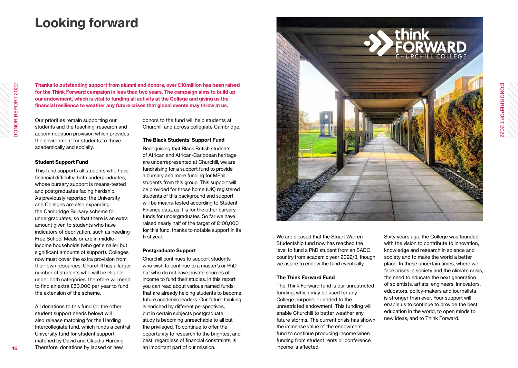## Looking forward

Thanks to outstanding support from alumni and donors, over £10million has been raised for the Think Forward campaign in less than two years. The campaign aims to build up our endowment, which is vital to funding all activity at the College and giving us the financial resilience to weather any future crises that global events may throw at us.

Our priorities remain supporting our students and the teaching, research and accommodation provision which provides the environment for students to thrive academically and socially.

#### Student Support Fund

This fund supports all students who have financial difficulty: both undergraduates, whose bursary support is means-tested and postgraduates facing hardship. As previously reported, the University and Colleges are also expanding the Cambridge Bursary scheme for undergraduates, so that there is an extra amount given to students who have indicators of deprivation, such as needing Free School Meals or are in middleincome households (who get smaller but significant amounts of support). Colleges now must cover the extra provision from their own resources. Churchill has a larger number of students who will be eligible under both categories, therefore will need to find an extra £50,000 per year to fund the extension of the scheme.

All donations to this fund (or the other student support needs below) will also release matching for the Harding Intercollegiate fund, which funds a central University fund for student support matched by David and Claudia Harding. Therefore, donations by lapsed or new

donors to the fund will help students at Churchill and across collegiate Cambridge.

#### The Black Students' Support Fund

Recognising that Black British students of African and African-Caribbean heritage are underrepresented at Churchill, we are fundraising for a support fund to provide a bursary and more funding for MPhil students from this group. This support will be provided for those home (UK) registered students of this background and support will be means-tested according to Student Finance data, as it is for the other bursary funds for undergraduates. So far we have raised nearly half of the target of £100,000 for this fund, thanks to notable support in its first year.

#### Postgraduate Support

Churchill continues to support students who wish to continue to a master's or PhD but who do not have private sources of income to fund their studies. In this report you can read about various named funds that are already helping students to become future academic leaders. Our future thinking is enriched by different perspectives, but in certain subjects postgraduate study is becoming unreachable to all but the privileged. To continue to offer the opportunity to research to the brightest and best, regardless of financial constraints, is an important part of our mission.



We are pleased that the Stuart Warren Studentship fund now has reached the level to fund a PhD student from an SADC country from academic year 2022/3, though we aspire to endow the fund eventually.

#### The Think Forward Fund

The Think Forward fund is our unrestricted funding, which may be used for any College purpose, or added to the unrestricted endowment. This funding will enable Churchill to better weather any future storms. The current crisis has shown the immense value of the endowment fund to continue producing income when funding from student rents or conference income is affected.

Sixty years ago, the College was founded with the vision to contribute to innovation, knowledge and research in science and society and to make the world a better place. In these uncertain times, where we face crises in society and the climate crisis. the need to educate the next generation of scientists, artists, engineers, innovators, educators, policy-makers and journalists is stronger than ever. Your support will enable us to continue to provide the best education in the world, to open minds to new ideas, and to Think Forward.